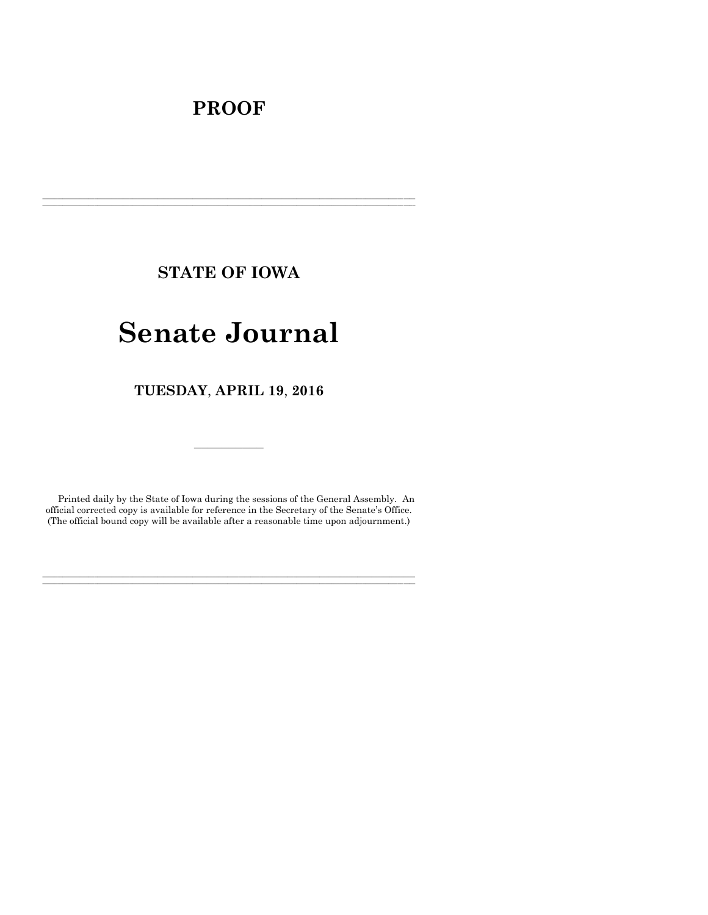# **PROOF**

**STATE OF IOWA**

**\_\_\_\_\_\_\_\_\_\_\_\_\_\_\_\_\_\_\_\_\_\_\_\_\_\_\_\_\_\_\_\_\_\_\_\_\_\_\_\_\_\_\_\_\_\_\_\_\_\_\_\_\_\_\_\_\_\_\_\_\_\_\_\_\_\_\_\_\_\_\_\_\_\_\_\_\_\_\_\_\_\_\_\_\_\_\_\_\_\_\_\_\_\_\_\_\_\_\_\_\_\_\_\_\_\_\_\_\_\_\_\_\_\_\_\_\_\_\_\_\_\_\_\_\_\_\_\_\_ \_\_\_\_\_\_\_\_\_\_\_\_\_\_\_\_\_\_\_\_\_\_\_\_\_\_\_\_\_\_\_\_\_\_\_\_\_\_\_\_\_\_\_\_\_\_\_\_\_\_\_\_\_\_\_\_\_\_\_\_\_\_\_\_\_\_\_\_\_\_\_\_\_\_\_\_\_\_\_\_\_\_\_\_\_\_\_\_\_\_\_\_\_\_\_\_\_\_\_\_\_\_\_\_\_\_\_\_\_\_\_\_\_\_\_\_\_\_\_\_\_\_\_\_\_\_\_\_\_**

# **Senate Journal**

**TUESDAY**, **APRIL 19**, **2016**

Printed daily by the State of Iowa during the sessions of the General Assembly. An official corrected copy is available for reference in the Secretary of the Senate's Office. (The official bound copy will be available after a reasonable time upon adjournment.)

**\_\_\_\_\_\_\_\_\_\_\_\_\_\_\_\_\_\_\_\_\_\_\_\_\_\_\_\_\_\_\_\_\_\_\_\_\_\_\_\_\_\_\_\_\_\_\_\_\_\_\_\_\_\_\_\_\_\_\_\_\_\_\_\_\_\_\_\_\_\_\_\_\_\_\_\_\_\_\_\_\_\_\_\_\_\_\_\_\_\_\_\_\_\_\_\_\_\_\_\_\_\_\_\_\_\_\_\_\_\_\_\_\_\_\_\_\_\_\_\_\_\_\_\_\_\_\_\_\_ \_\_\_\_\_\_\_\_\_\_\_\_\_\_\_\_\_\_\_\_\_\_\_\_\_\_\_\_\_\_\_\_\_\_\_\_\_\_\_\_\_\_\_\_\_\_\_\_\_\_\_\_\_\_\_\_\_\_\_\_\_\_\_\_\_\_\_\_\_\_\_\_\_\_\_\_\_\_\_\_\_\_\_\_\_\_\_\_\_\_\_\_\_\_\_\_\_\_\_\_\_\_\_\_\_\_\_\_\_\_\_\_\_\_\_\_\_\_\_\_\_\_\_\_\_\_\_\_\_**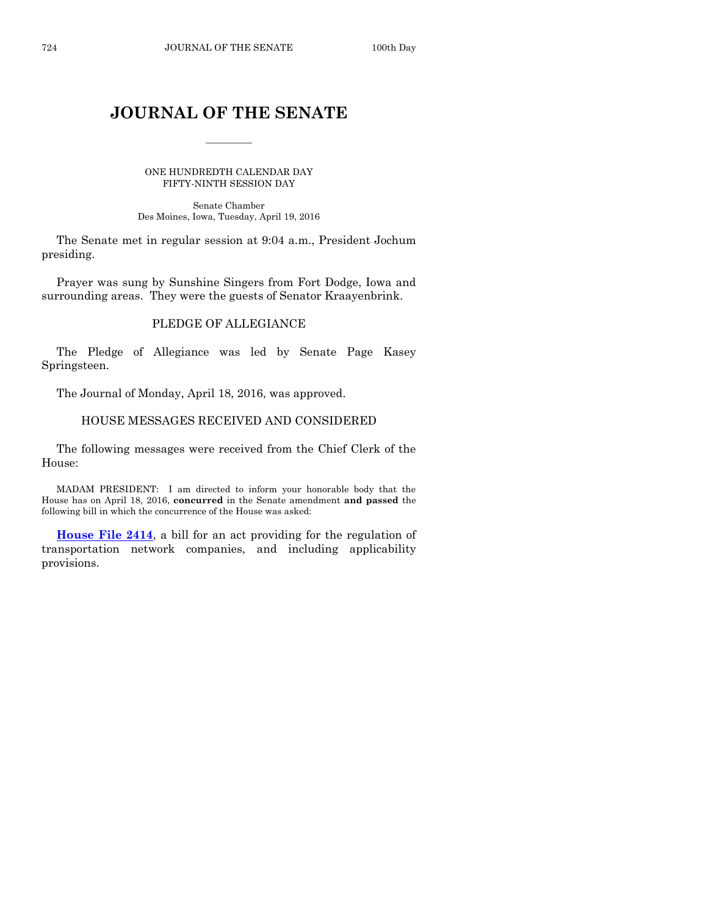# **JOURNAL OF THE SENATE**

 $\frac{1}{2}$ 

ONE HUNDREDTH CALENDAR DAY FIFTY-NINTH SESSION DAY

Senate Chamber Des Moines, Iowa, Tuesday, April 19, 2016

The Senate met in regular session at 9:04 a.m., President Jochum presiding.

Prayer was sung by Sunshine Singers from Fort Dodge, Iowa and surrounding areas. They were the guests of Senator Kraayenbrink.

#### PLEDGE OF ALLEGIANCE

The Pledge of Allegiance was led by Senate Page Kasey Springsteen.

The Journal of Monday, April 18, 2016, was approved.

#### HOUSE MESSAGES RECEIVED AND CONSIDERED

The following messages were received from the Chief Clerk of the House:

MADAM PRESIDENT: I am directed to inform your honorable body that the House has on April 18, 2016, **concurred** in the Senate amendment **and passed** the following bill in which the concurrence of the House was asked:

**[House File 2414](http://coolice.legis.iowa.gov/Cool-ICE/default.asp?Category=billinfo&Service=Billbook&frame=1&GA=86&hbill=HF2414)**, a bill for an act providing for the regulation of transportation network companies, and including applicability provisions.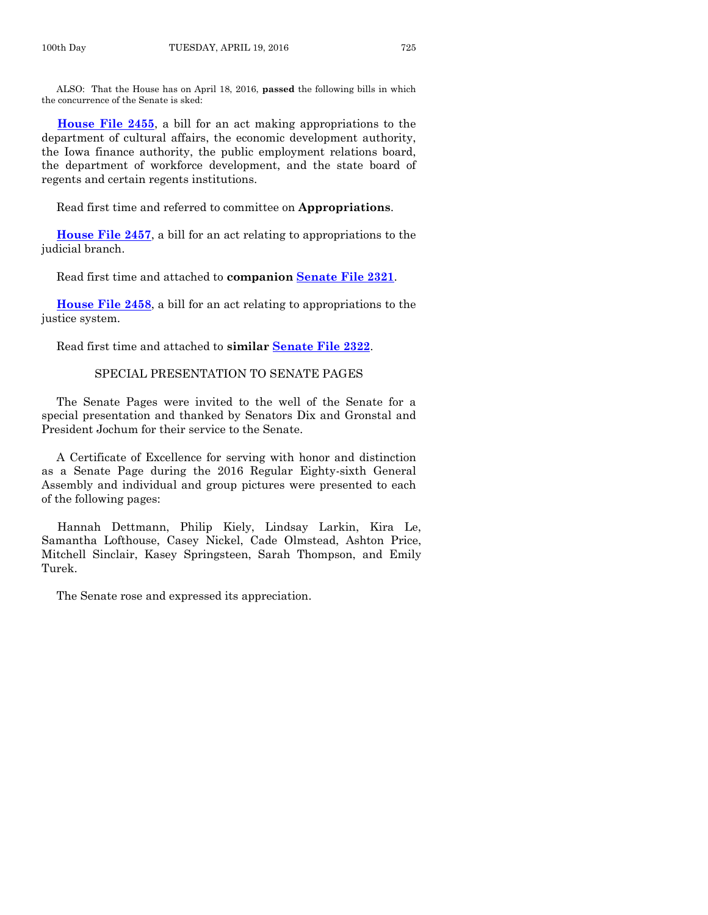ALSO: That the House has on April 18, 2016, **passed** the following bills in which the concurrence of the Senate is sked:

**[House File 2455](http://coolice.legis.iowa.gov/Cool-ICE/default.asp?Category=billinfo&Service=Billbook&frame=1&GA=86&hbill=HF2455)**, a bill for an act making appropriations to the department of cultural affairs, the economic development authority, the Iowa finance authority, the public employment relations board, the department of workforce development, and the state board of regents and certain regents institutions.

Read first time and referred to committee on **Appropriations**.

**[House File 2457](http://coolice.legis.iowa.gov/Cool-ICE/default.asp?Category=billinfo&Service=Billbook&frame=1&GA=86&hbill=HF2457)**, a bill for an act relating to appropriations to the judicial branch.

Read first time and attached to **companion [Senate File 2321](http://coolice.legis.iowa.gov/Cool-ICE/default.asp?Category=billinfo&Service=Billbook&frame=1&GA=86&hbill=SF2321)**.

**[House File](http://coolice.legis.iowa.gov/Cool-ICE/default.asp?Category=billinfo&Service=Billbook&frame=1&GA=86&hbill=HF2458) 2458**, a bill for an act relating to appropriations to the justice system.

Read first time and attached to **similar [Senate File 2322](http://coolice.legis.iowa.gov/Cool-ICE/default.asp?Category=billinfo&Service=Billbook&frame=1&GA=86&hbill=SF2322)**.

#### SPECIAL PRESENTATION TO SENATE PAGES

The Senate Pages were invited to the well of the Senate for a special presentation and thanked by Senators Dix and Gronstal and President Jochum for their service to the Senate.

A Certificate of Excellence for serving with honor and distinction as a Senate Page during the 2016 Regular Eighty-sixth General Assembly and individual and group pictures were presented to each of the following pages:

Hannah Dettmann, Philip Kiely, Lindsay Larkin, Kira Le, Samantha Lofthouse, Casey Nickel, Cade Olmstead, Ashton Price, Mitchell Sinclair, Kasey Springsteen, Sarah Thompson, and Emily Turek.

The Senate rose and expressed its appreciation.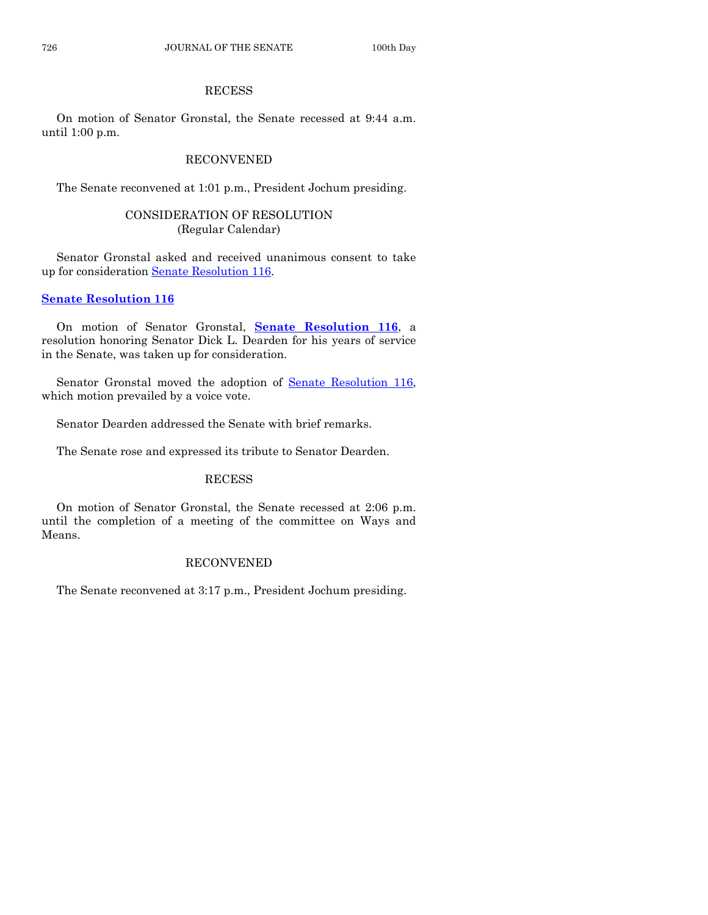# RECESS

On motion of Senator Gronstal, the Senate recessed at 9:44 a.m. until 1:00 p.m.

# RECONVENED

The Senate reconvened at 1:01 p.m., President Jochum presiding.

# CONSIDERATION OF RESOLUTION (Regular Calendar)

Senator Gronstal asked and received unanimous consent to take up for consideration [Senate Resolution 116.](http://coolice.legis.iowa.gov/Cool-ICE/default.asp?Category=billinfo&Service=Billbook&frame=1&GA=86&hbill=SR116)

# **[Senate Resolution 116](http://coolice.legis.iowa.gov/Cool-ICE/default.asp?Category=billinfo&Service=Billbook&frame=1&GA=86&hbill=SR116)**

On motion of Senator Gronstal, **Senate [Resolution 116](http://coolice.legis.iowa.gov/Cool-ICE/default.asp?Category=billinfo&Service=Billbook&frame=1&GA=86&hbill=SR116)**, a resolution honoring Senator Dick L. Dearden for his years of service in the Senate, was taken up for consideration.

Senator Gronstal moved the adoption of [Senate Resolution 116,](http://coolice.legis.iowa.gov/Cool-ICE/default.asp?Category=billinfo&Service=Billbook&frame=1&GA=86&hbill=SR116) which motion prevailed by a voice vote.

Senator Dearden addressed the Senate with brief remarks.

The Senate rose and expressed its tribute to Senator Dearden.

# **RECESS**

On motion of Senator Gronstal, the Senate recessed at 2:06 p.m. until the completion of a meeting of the committee on Ways and Means.

# RECONVENED

The Senate reconvened at 3:17 p.m., President Jochum presiding.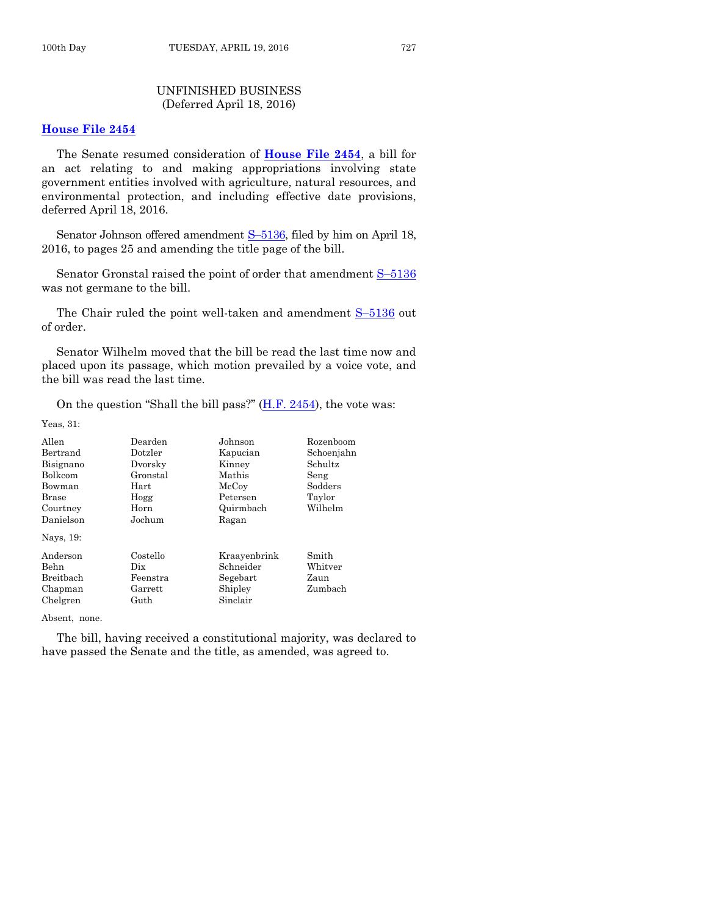# UNFINISHED BUSINESS (Deferred April 18, 2016)

#### **[House File 2454](http://coolice.legis.iowa.gov/Cool-ICE/default.asp?Category=billinfo&Service=Billbook&frame=1&GA=86&hbill=HF2454)**

The Senate resumed consideration of **[House File 2454](http://coolice.legis.iowa.gov/Cool-ICE/default.asp?Category=billinfo&Service=Billbook&frame=1&GA=86&hbill=HF2454)**, a bill for an act relating to and making appropriations involving state government entities involved with agriculture, natural resources, and environmental protection, and including effective date provisions, deferred April 18, 2016.

Senator Johnson offered amendment S-[5136,](http://coolice.legis.iowa.gov/Cool-ICE/default.asp?Category=billinfo&Service=Billbook&frame=1&GA=86&hbill=S5136) filed by him on April 18, 2016, to pages 25 and amending the title page of the bill.

Senator Gronstal raised the point of order that amendment S–[5136](http://coolice.legis.iowa.gov/Cool-ICE/default.asp?Category=billinfo&Service=Billbook&frame=1&GA=86&hbill=S5136) was not germane to the bill.

The Chair ruled the point well-taken and amendment S–[5136](http://coolice.legis.iowa.gov/Cool-ICE/default.asp?Category=billinfo&Service=Billbook&frame=1&GA=86&hbill=S5136) out of order.

Senator Wilhelm moved that the bill be read the last time now and placed upon its passage, which motion prevailed by a voice vote, and the bill was read the last time.

On the question "Shall the bill pass?"  $(H.F. 2454)$ , the vote was:

Yeas, 31:

| Allen        | Dearden  | Johnson      | Rozenboom  |
|--------------|----------|--------------|------------|
| Bertrand     | Dotzler  | Kapucian     | Schoenjahn |
| Bisignano    | Dvorsky  | Kinney       | Schultz    |
| Bolkcom      | Gronstal | Mathis       | Seng       |
| Bowman       | Hart     | McCoy        | Sodders    |
| <b>Brase</b> | Hogg     | Petersen     | Taylor     |
| Courtney     | Horn     | Quirmbach    | Wilhelm    |
| Danielson    | Jochum   | Ragan        |            |
| Nays, 19:    |          |              |            |
| Anderson     | Costello | Kraayenbrink | Smith      |
| Behn         | Dix      | Schneider    | Whitver    |
| Breitbach    | Feenstra | Segebart     | Zaun       |
| Chapman      | Garrett  | Shipley      | Zumbach    |
| Chelgren     | Guth     | Sinclair     |            |

Absent, none.

The bill, having received a constitutional majority, was declared to have passed the Senate and the title, as amended, was agreed to.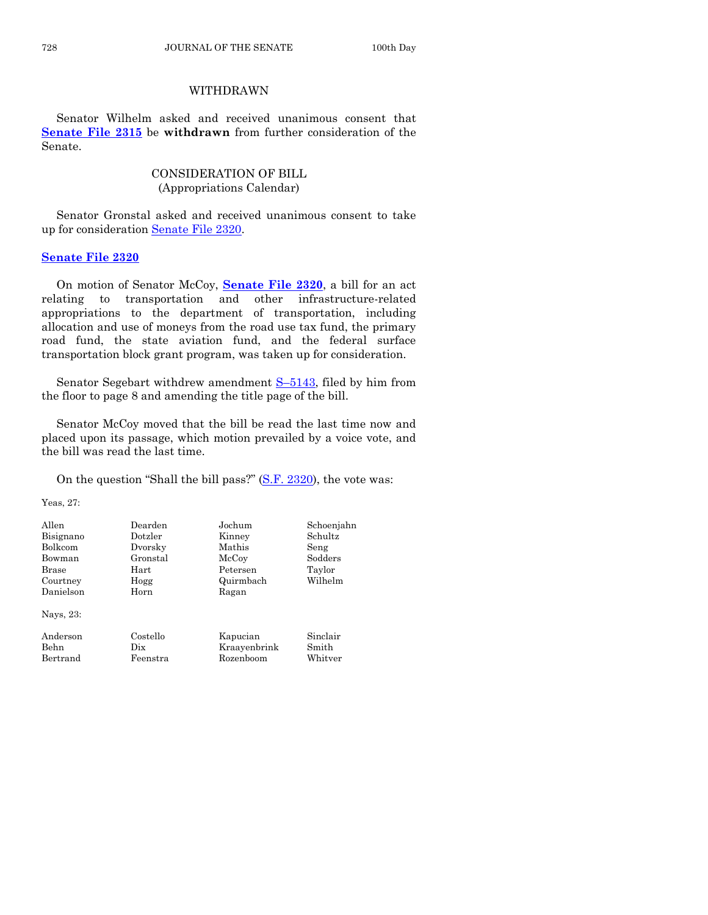#### WITHDRAWN

Senator Wilhelm asked and received unanimous consent that **[Senate File 2315](http://coolice.legis.iowa.gov/Cool-ICE/default.asp?Category=billinfo&Service=Billbook&frame=1&GA=86&hbill=SF2315)** be **withdrawn** from further consideration of the Senate.

# CONSIDERATION OF BILL (Appropriations Calendar)

Senator Gronstal asked and received unanimous consent to take up for consideration [Senate File 2320.](http://coolice.legis.iowa.gov/Cool-ICE/default.asp?Category=billinfo&Service=Billbook&frame=1&GA=86&hbill=SF2320)

#### **[Senate File 2320](http://coolice.legis.iowa.gov/Cool-ICE/default.asp?Category=billinfo&Service=Billbook&frame=1&GA=86&hbill=SF2320)**

On motion of Senator McCoy, **[Senate File 2320](http://coolice.legis.iowa.gov/Cool-ICE/default.asp?Category=billinfo&Service=Billbook&frame=1&GA=86&hbill=SF2320)**, a bill for an act relating to transportation and other infrastructure-related appropriations to the department of transportation, including allocation and use of moneys from the road use tax fund, the primary road fund, the state aviation fund, and the federal surface transportation block grant program, was taken up for consideration.

Senator Segebart withdrew amendment S–[5143,](http://coolice.legis.iowa.gov/Cool-ICE/default.asp?Category=billinfo&Service=Billbook&frame=1&GA=86&hbill=S5143) filed by him from the floor to page 8 and amending the title page of the bill.

Senator McCoy moved that the bill be read the last time now and placed upon its passage, which motion prevailed by a voice vote, and the bill was read the last time.

On the question "Shall the bill pass?" [\(S.F. 2320\)](http://coolice.legis.iowa.gov/Cool-ICE/default.asp?Category=billinfo&Service=Billbook&frame=1&GA=86&hbill=SF2320), the vote was:

Yeas, 27:

| Allen<br>Bisignano<br><b>Bolkcom</b><br>Bowman<br>Brase<br>Courtney<br>Danielson | Dearden<br>Dotzler<br>Dvorsky<br>Gronstal<br>Hart<br>Hogg<br>Horn | Jochum<br>Kinney<br>Mathis<br>McCoy<br>Petersen<br>Quirmbach<br>Ragan | Schoenjahn<br>Schultz<br>Seng<br>Sodders<br>Taylor<br>Wilhelm |
|----------------------------------------------------------------------------------|-------------------------------------------------------------------|-----------------------------------------------------------------------|---------------------------------------------------------------|
| Nays, 23:<br>Anderson<br>Behn<br>Bertrand                                        | Costello<br>Dix<br>Feenstra                                       | Kapucian<br>Kraayenbrink<br>Rozenboom                                 | Sinclair<br>Smith<br>Whitver                                  |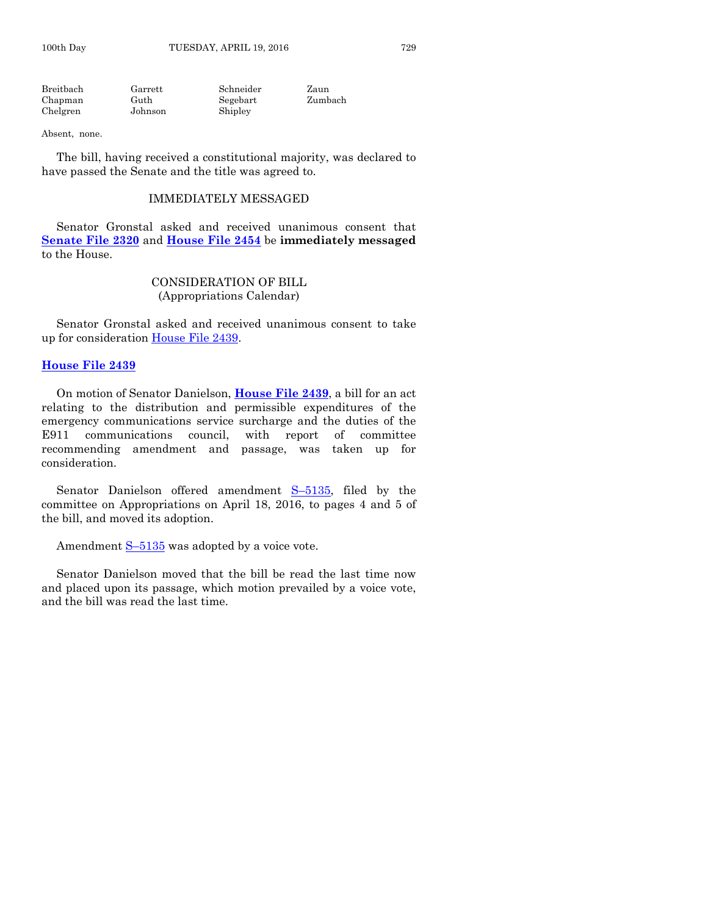| Breitbach | Garrett | Schneider | Zaun    |
|-----------|---------|-----------|---------|
| Chapman   | Guth    | Segebart  | Zumbach |
| Chelgren  | Johnson | Shipley   |         |

#### Absent, none.

The bill, having received a constitutional majority, was declared to have passed the Senate and the title was agreed to.

#### IMMEDIATELY MESSAGED

Senator Gronstal asked and received unanimous consent that **[Senate File 2320](http://coolice.legis.iowa.gov/Cool-ICE/default.asp?Category=billinfo&Service=Billbook&frame=1&GA=86&hbill=SF2320)** and **[House File 2454](http://coolice.legis.iowa.gov/Cool-ICE/default.asp?Category=billinfo&Service=Billbook&frame=1&GA=86&hbill=HF2454)** be **immediately messaged** to the House.

#### CONSIDERATION OF BILL (Appropriations Calendar)

Senator Gronstal asked and received unanimous consent to take up for consideration [House File 2439.](http://coolice.legis.iowa.gov/Cool-ICE/default.asp?Category=billinfo&Service=Billbook&frame=1&GA=86&hbill=HF2439)

#### **[House File 2439](http://coolice.legis.iowa.gov/Cool-ICE/default.asp?Category=billinfo&Service=Billbook&frame=1&GA=86&hbill=HF2439)**

On motion of Senator Danielson, **[House File 2439](http://coolice.legis.iowa.gov/Cool-ICE/default.asp?Category=billinfo&Service=Billbook&frame=1&GA=86&hbill=HF2439)**, a bill for an act relating to the distribution and permissible expenditures of the emergency communications service surcharge and the duties of the E911 communications council, with report of committee recommending amendment and passage, was taken up for consideration.

Senator Danielson offered amendment S–[5135,](http://coolice.legis.iowa.gov/Cool-ICE/default.asp?Category=billinfo&Service=Billbook&frame=1&GA=86&hbill=S5135) filed by the committee on Appropriations on April 18, 2016, to pages 4 and 5 of the bill, and moved its adoption.

Amendment  $S-5135$  $S-5135$  was adopted by a voice vote.

Senator Danielson moved that the bill be read the last time now and placed upon its passage, which motion prevailed by a voice vote, and the bill was read the last time.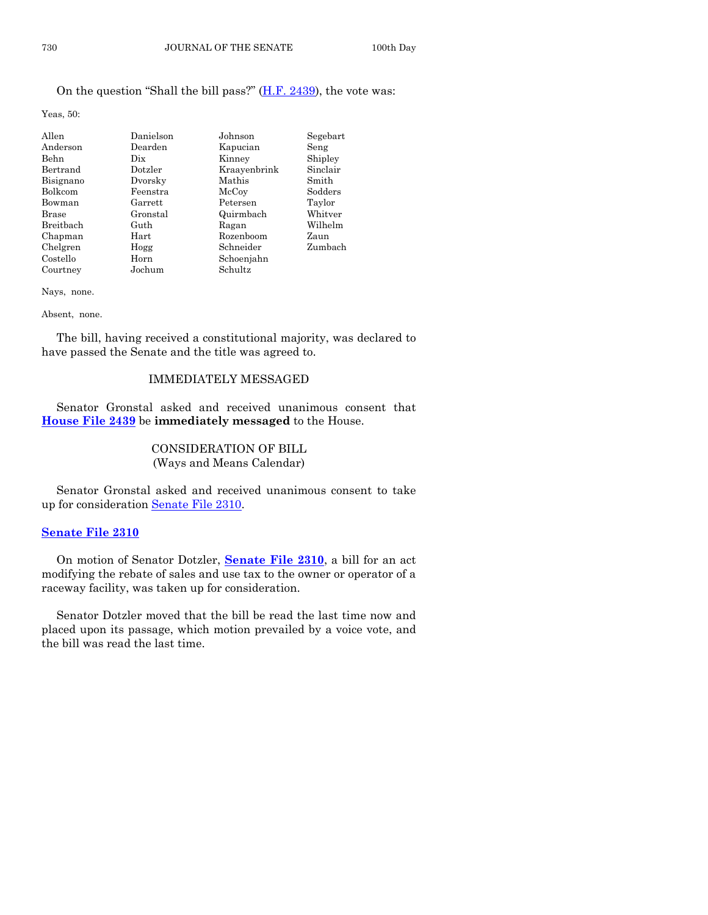# On the question "Shall the bill pass?" [\(H.F. 2439\)](http://coolice.legis.iowa.gov/Cool-ICE/default.asp?Category=billinfo&Service=Billbook&frame=1&GA=86&hbill=HF2439), the vote was:

Yeas, 50:

| Allen          | Danielson | Johnson      | Segebart |
|----------------|-----------|--------------|----------|
| Anderson       | Dearden   | Kapucian     | Seng     |
| Behn           | Dix       | Kinney       | Shipley  |
| Bertrand       | Dotzler   | Kraayenbrink | Sinclair |
| Bisignano      | Dvorsky   | Mathis       | Smith    |
| <b>Bolkcom</b> | Feenstra  | McCoy        | Sodders  |
| Bowman         | Garrett   | Petersen     | Taylor   |
| <b>Brase</b>   | Gronstal  | Quirmbach    | Whitver  |
| Breitbach      | Guth      | Ragan        | Wilhelm  |
| Chapman        | Hart      | Rozenboom    | Zaun     |
| Chelgren       | Hogg      | Schneider    | Zumbach  |
| Costello       | Horn      | Schoenjahn   |          |
| Courtney       | Jochum    | Schultz      |          |

Nays, none.

#### Absent, none.

The bill, having received a constitutional majority, was declared to have passed the Senate and the title was agreed to.

#### IMMEDIATELY MESSAGED

Senator Gronstal asked and received unanimous consent that **[House File 2439](http://coolice.legis.iowa.gov/Cool-ICE/default.asp?Category=billinfo&Service=Billbook&frame=1&GA=86&hbill=HF2439)** be **immediately messaged** to the House.

#### CONSIDERATION OF BILL (Ways and Means Calendar)

Senator Gronstal asked and received unanimous consent to take up for consideration [Senate File 2310.](http://coolice.legis.iowa.gov/Cool-ICE/default.asp?Category=billinfo&Service=Billbook&frame=1&GA=86&hbill=SF2310)

#### **[Senate File 2310](http://coolice.legis.iowa.gov/Cool-ICE/default.asp?Category=billinfo&Service=Billbook&frame=1&GA=86&hbill=SF2310)**

On motion of Senator Dotzler, **[Senate File 2310](http://coolice.legis.iowa.gov/Cool-ICE/default.asp?Category=billinfo&Service=Billbook&frame=1&GA=86&hbill=SF2310)**, a bill for an act modifying the rebate of sales and use tax to the owner or operator of a raceway facility, was taken up for consideration.

Senator Dotzler moved that the bill be read the last time now and placed upon its passage, which motion prevailed by a voice vote, and the bill was read the last time.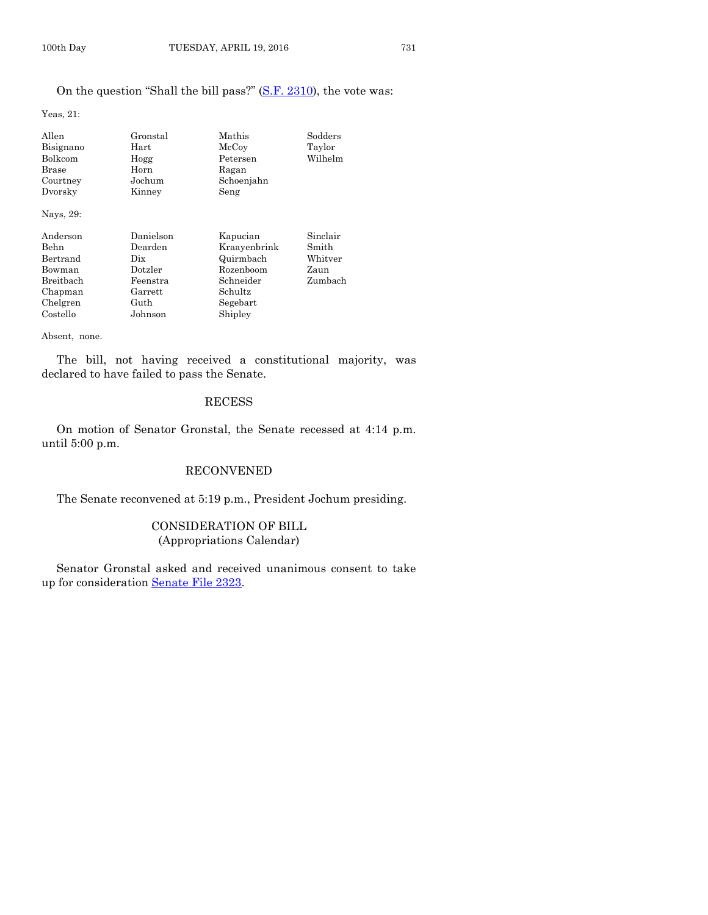# On the question "Shall the bill pass?" [\(S.F. 2310\)](http://coolice.legis.iowa.gov/Cool-ICE/default.asp?Category=billinfo&Service=Billbook&frame=1&GA=86&hbill=SF2310), the vote was:

Yeas, 21:

| Allen<br>Bisignano<br>Bolkcom<br>Brase<br>Courtney<br>Dvorsky                          | Gronstal<br>Hart<br>Hogg<br>Horn<br>Jochum<br>Kinney                             | Mathis<br>McCoy<br>Petersen<br>Ragan<br>Schoenjahn<br>Seng                                        | Sodders<br>Taylor<br>Wilhelm                    |
|----------------------------------------------------------------------------------------|----------------------------------------------------------------------------------|---------------------------------------------------------------------------------------------------|-------------------------------------------------|
| Nays, 29:                                                                              |                                                                                  |                                                                                                   |                                                 |
| Anderson<br>Behn<br>Bertrand<br>Bowman<br>Breithach<br>Chapman<br>Chelgren<br>Costello | Danielson<br>Dearden<br>Dix<br>Dotzler<br>Feenstra<br>Garrett<br>Guth<br>Johnson | Kapucian<br>Kraavenbrink<br>Quirmbach<br>Rozenboom<br>Schneider<br>Schultz<br>Segebart<br>Shipley | Sinclair<br>Smith<br>Whitver<br>Zaun<br>Zumbach |

Absent, none.

The bill, not having received a constitutional majority, was declared to have failed to pass the Senate.

#### RECESS

On motion of Senator Gronstal, the Senate recessed at 4:14 p.m. until 5:00 p.m.

# RECONVENED

The Senate reconvened at 5:19 p.m., President Jochum presiding.

# CONSIDERATION OF BILL (Appropriations Calendar)

Senator Gronstal asked and received unanimous consent to take up for consideration [Senate File 2323.](http://coolice.legis.iowa.gov/Cool-ICE/default.asp?Category=billinfo&Service=Billbook&frame=1&GA=86&hbill=SF2323)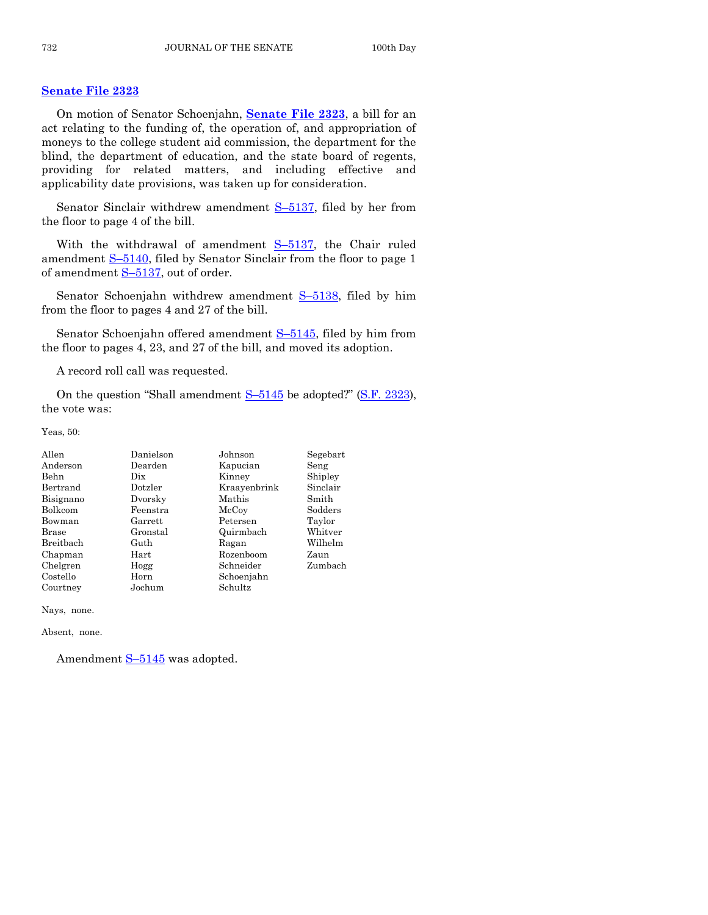#### **[Senate File 2323](http://coolice.legis.iowa.gov/Cool-ICE/default.asp?Category=billinfo&Service=Billbook&frame=1&GA=86&hbill=SF2323)**

On motion of Senator Schoenjahn, **[Senate File 2323](http://coolice.legis.iowa.gov/Cool-ICE/default.asp?Category=billinfo&Service=Billbook&frame=1&GA=86&hbill=SF2323)**, a bill for an act relating to the funding of, the operation of, and appropriation of moneys to the college student aid commission, the department for the blind, the department of education, and the state board of regents, providing for related matters, and including effective and applicability date provisions, was taken up for consideration.

Senator Sinclair withdrew amendment  $S-5137$ , filed by her from the floor to page 4 of the bill.

With the withdrawal of amendment  $S-5137$ , the Chair ruled amendment  $S-5140$ , filed by Senator Sinclair from the floor to page 1 of amendment S-[5137,](http://coolice.legis.iowa.gov/Cool-ICE/default.asp?Category=billinfo&Service=Billbook&frame=1&GA=86&hbill=S5137) out of order.

Senator Schoenjahn withdrew amendment S-[5138,](http://coolice.legis.iowa.gov/Cool-ICE/default.asp?Category=billinfo&Service=Billbook&frame=1&GA=86&hbill=S5138) filed by him from the floor to pages 4 and 27 of the bill.

Senator Schoenjahn offered amendment S–[5145,](http://coolice.legis.iowa.gov/Cool-ICE/default.asp?Category=billinfo&Service=Billbook&frame=1&GA=86&hbill=S5145) filed by him from the floor to pages 4, 23, and 27 of the bill, and moved its adoption.

A record roll call was requested.

On the question "Shall amendment  $S-5145$  $S-5145$  be adopted?" [\(S.F. 2323\)](http://coolice.legis.iowa.gov/Cool-ICE/default.asp?Category=billinfo&Service=Billbook&frame=1&GA=86&hbill=SF2323), the vote was:

Yeas, 50:

| Danielson | Johnson      | Segebart |
|-----------|--------------|----------|
| Dearden   | Kapucian     | Seng     |
| Dix       | Kinney       | Shipley  |
| Dotzler   | Kraayenbrink | Sinclair |
| Dvorsky   | Mathis       | Smith    |
| Feenstra  | McCoy        | Sodders  |
| Garrett   | Petersen     | Taylor   |
| Gronstal  | Quirmbach    | Whitver  |
| Guth      | Ragan        | Wilhelm  |
| Hart      | Rozenboom    | Zaun     |
| Hogg      | Schneider    | Zumbach  |
| Horn      | Schoenjahn   |          |
| Jochum    | Schultz      |          |
|           |              |          |

Nays, none.

Absent, none.

Amendment  $S-5145$  $S-5145$  was adopted.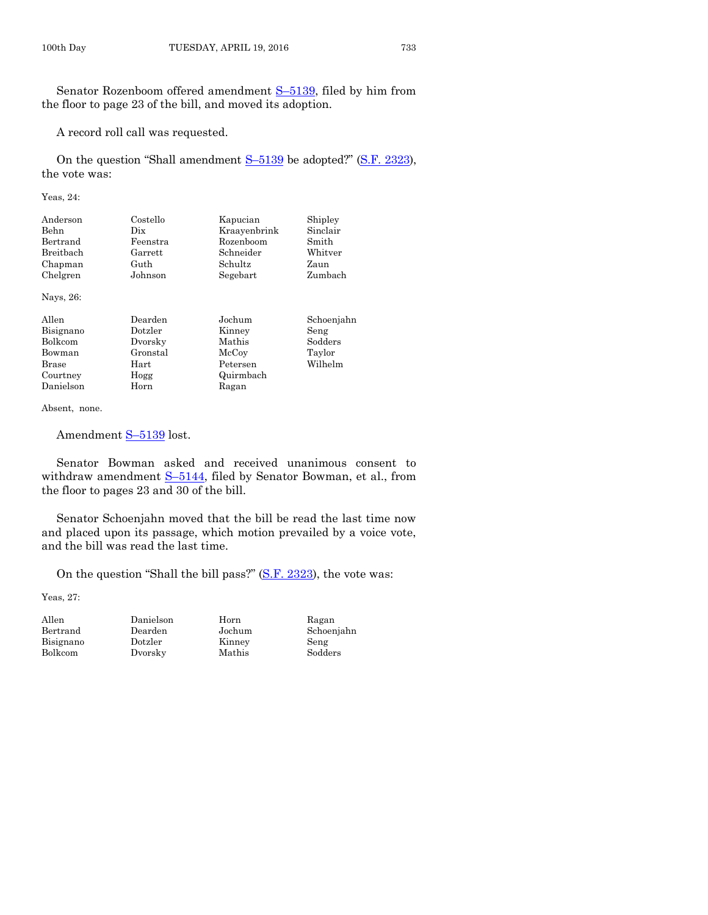Senator Rozenboom offered amendment S–[5139,](http://coolice.legis.iowa.gov/Cool-ICE/default.asp?Category=billinfo&Service=Billbook&frame=1&GA=86&hbill=S5139) filed by him from the floor to page 23 of the bill, and moved its adoption.

A record roll call was requested.

On the question "Shall amendment S–[5139](http://coolice.legis.iowa.gov/Cool-ICE/default.asp?Category=billinfo&Service=Billbook&frame=1&GA=86&hbill=S5139) be adopted?" [\(S.F. 2323\)](http://coolice.legis.iowa.gov/Cool-ICE/default.asp?Category=billinfo&Service=Billbook&frame=1&GA=86&hbill=SF2323), the vote was:

Yeas, 24:

| Anderson  | Costello | Kapucian     | Shipley  |
|-----------|----------|--------------|----------|
| Behn      | Dix      | Kraayenbrink | Sinclair |
| Bertrand  | Feenstra | Rozenboom    | Smith    |
| Breitbach | Garrett  | Schneider    | Whitver  |
| Chapman   | Guth     | Schultz      | Zaun     |
| Chelgren  | Johnson  | Segebart     | Zumbach  |

Nays, 26:

| Allen     | Dearden  | Jochum    | Schoenjahn |
|-----------|----------|-----------|------------|
| Bisignano | Dotzler  | Kinney    | Seng       |
| Bolkcom   | Dvorsky  | Mathis    | Sodders    |
| Bowman    | Gronstal | McCoy     | Taylor     |
| Brase     | Hart     | Petersen  | Wilhelm    |
| Courtney  | Hogg     | Quirmbach |            |
| Danielson | Horn     | Ragan     |            |

Absent, none.

Amendment  $S-5139$  $S-5139$  lost.

Senator Bowman asked and received unanimous consent to withdraw amendment S-[5144,](http://coolice.legis.iowa.gov/Cool-ICE/default.asp?Category=billinfo&Service=Billbook&frame=1&GA=86&hbill=S5144) filed by Senator Bowman, et al., from the floor to pages 23 and 30 of the bill.

Senator Schoenjahn moved that the bill be read the last time now and placed upon its passage, which motion prevailed by a voice vote, and the bill was read the last time.

On the question "Shall the bill pass?" [\(S.F. 2323\)](http://coolice.legis.iowa.gov/Cool-ICE/default.asp?Category=billinfo&Service=Billbook&frame=1&GA=86&hbill=SF2323), the vote was:

Yeas, 27:

| Allen     |
|-----------|
| Bertrand  |
| Bisignano |
| Bolkcom   |

Allen Danielson Horn Ragan Bisignano Dotzler Kinney Seng

Bearden Jochum Schoenjahn<br>Dotzler Kinney Seng Dvorsky Mathis Sodders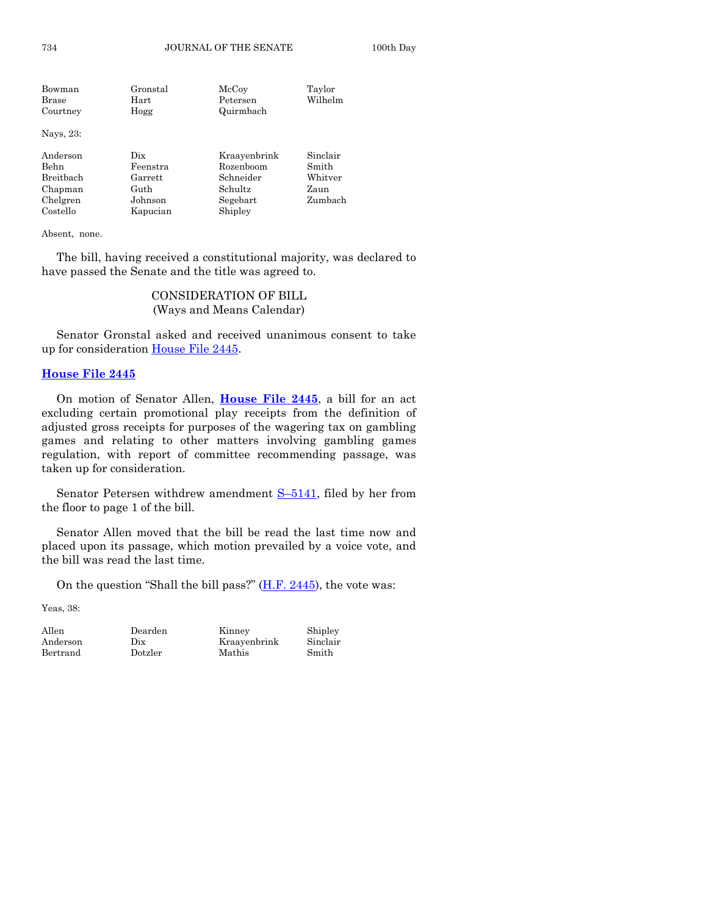| Gronstal | McCoy        | Taylor   |
|----------|--------------|----------|
| Hart     | Petersen     | Wilhelm  |
| Hogg     | Quirmbach    |          |
|          |              |          |
| Dix      | Kraayenbrink | Sinclair |
| Feenstra | Rozenboom    | Smith    |
| Garrett  | Schneider    | Whitver  |
| Guth     | Schultz      | Zaun     |
| Johnson  | Segebart     | Zumbach  |
| Kapucian | Shipley      |          |
|          |              |          |

Absent, none.

The bill, having received a constitutional majority, was declared to have passed the Senate and the title was agreed to.

# CONSIDERATION OF BILL (Ways and Means Calendar)

Senator Gronstal asked and received unanimous consent to take up for consideration [House File 2445.](http://coolice.legis.iowa.gov/Cool-ICE/default.asp?Category=billinfo&Service=Billbook&frame=1&GA=86&hbill=HF2445)

#### **[House File 2445](http://coolice.legis.iowa.gov/Cool-ICE/default.asp?Category=billinfo&Service=Billbook&frame=1&GA=86&hbill=HF2445)**

On motion of Senator Allen, **[House File 2445](http://coolice.legis.iowa.gov/Cool-ICE/default.asp?Category=billinfo&Service=Billbook&frame=1&GA=86&hbill=HF2445)**, a bill for an act excluding certain promotional play receipts from the definition of adjusted gross receipts for purposes of the wagering tax on gambling games and relating to other matters involving gambling games regulation, with report of committee recommending passage, was taken up for consideration.

Senator Petersen withdrew amendment  $S-5141$ , filed by her from the floor to page 1 of the bill.

Senator Allen moved that the bill be read the last time now and placed upon its passage, which motion prevailed by a voice vote, and the bill was read the last time.

On the question "Shall the bill pass?"  $(H.F. 2445)$ , the vote was:

Yeas, 38:

| Allen    |  |
|----------|--|
| Anderson |  |
| Bertrand |  |

Dearden Kinney Shipley<br>Dix Kraayenbrink Sinclair Kraayenbrink Dotzler Mathis Smith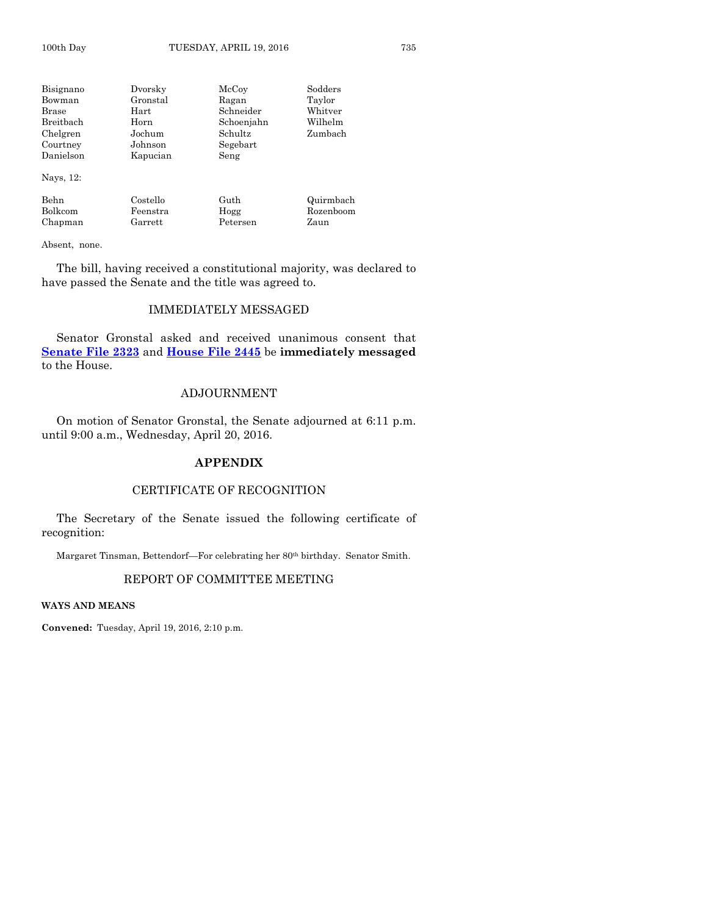Bisignano Dvorsky McCoy Sodders Bowman Gronstal Ragan Taylor Brase Hart Schneider Breitbach Horn Schoenjahn Wilhelm Chelgren Jochum Schultz Zumbach Courtney Johnson Segebart Danielson Kapucian Seng Nays, 12: Behn Costello Guth Quirmbach Bolkcom Feenstra Hogg Rozenboom

Chapman Garrett Petersen Zaun

Absent, none.

The bill, having received a constitutional majority, was declared to have passed the Senate and the title was agreed to.

#### IMMEDIATELY MESSAGED

Senator Gronstal asked and received unanimous consent that **[Senate File 2323](http://coolice.legis.iowa.gov/Cool-ICE/default.asp?Category=billinfo&Service=Billbook&frame=1&GA=86&hbill=SF2323)** and **[House File 2445](http://coolice.legis.iowa.gov/Cool-ICE/default.asp?Category=billinfo&Service=Billbook&frame=1&GA=86&hbill=HF2445)** be **immediately messaged** to the House.

#### ADJOURNMENT

On motion of Senator Gronstal, the Senate adjourned at 6:11 p.m. until 9:00 a.m., Wednesday, April 20, 2016.

#### **APPENDIX**

#### CERTIFICATE OF RECOGNITION

The Secretary of the Senate issued the following certificate of recognition:

Margaret Tinsman, Bettendorf—For celebrating her 80th birthday. Senator Smith.

# REPORT OF COMMITTEE MEETING

**WAYS AND MEANS**

**Convened:** Tuesday, April 19, 2016, 2:10 p.m.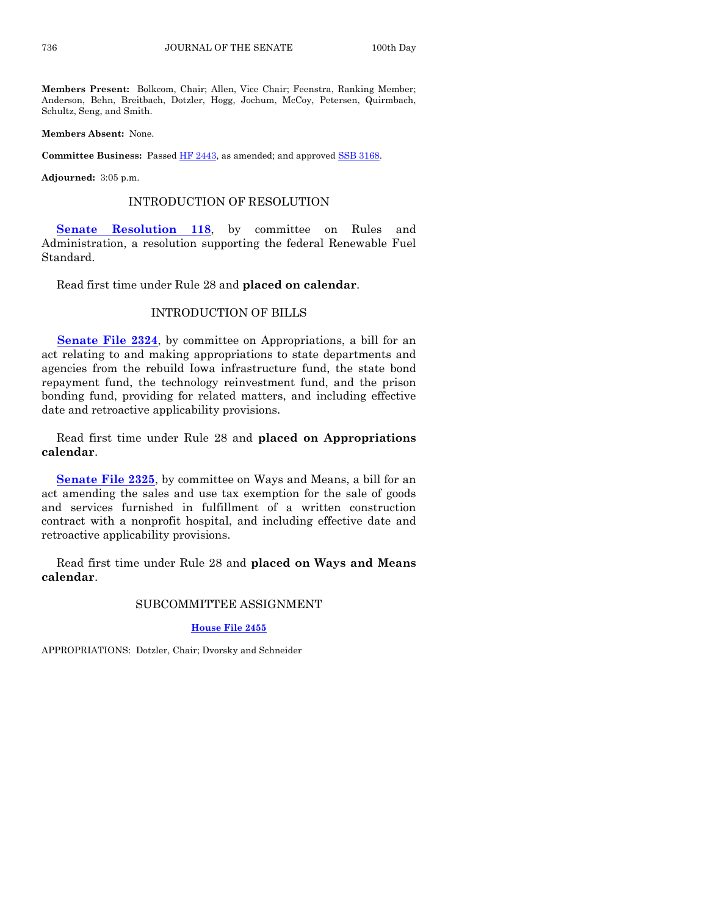**Members Present:** Bolkcom, Chair; Allen, Vice Chair; Feenstra, Ranking Member; Anderson, Behn, Breitbach, Dotzler, Hogg, Jochum, McCoy, Petersen, Quirmbach, Schultz, Seng, and Smith.

**Members Absent:** None.

**Committee Business:** Passed [HF 2443,](http://coolice.legis.iowa.gov/Cool-ICE/default.asp?Category=billinfo&Service=Billbook&frame=1&GA=86&hbill=HF2443) as amended; and approve[d SSB 3168.](http://coolice.legis.iowa.gov/Cool-ICE/default.asp?Category=billinfo&Service=Billbook&frame=1&GA=86&hbill=SSB3168)

**Adjourned:** 3:05 p.m.

#### INTRODUCTION OF RESOLUTION

**[Senate Resolution 118](http://coolice.legis.iowa.gov/Cool-ICE/default.asp?Category=billinfo&Service=Billbook&frame=1&GA=86&hbill=SR118)**, by committee on Rules and Administration, a resolution supporting the federal Renewable Fuel Standard.

Read first time under Rule 28 and **placed on calendar**.

#### INTRODUCTION OF BILLS

**[Senate File 2324](http://coolice.legis.iowa.gov/Cool-ICE/default.asp?Category=billinfo&Service=Billbook&frame=1&GA=86&hbill=SF2324)**, by committee on Appropriations, a bill for an act relating to and making appropriations to state departments and agencies from the rebuild Iowa infrastructure fund, the state bond repayment fund, the technology reinvestment fund, and the prison bonding fund, providing for related matters, and including effective date and retroactive applicability provisions.

Read first time under Rule 28 and **placed on Appropriations calendar**.

**[Senate File 2325](http://coolice.legis.iowa.gov/Cool-ICE/default.asp?Category=billinfo&Service=Billbook&frame=1&GA=86&hbill=SF2325)**, by committee on Ways and Means, a bill for an act amending the sales and use tax exemption for the sale of goods and services furnished in fulfillment of a written construction contract with a nonprofit hospital, and including effective date and retroactive applicability provisions.

Read first time under Rule 28 and **placed on Ways and Means calendar**.

#### SUBCOMMITTEE ASSIGNMENT

#### **[House File 2455](http://coolice.legis.iowa.gov/Cool-ICE/default.asp?Category=billinfo&Service=Billbook&frame=1&GA=86&hbill=HF2455)**

APPROPRIATIONS: Dotzler, Chair; Dvorsky and Schneider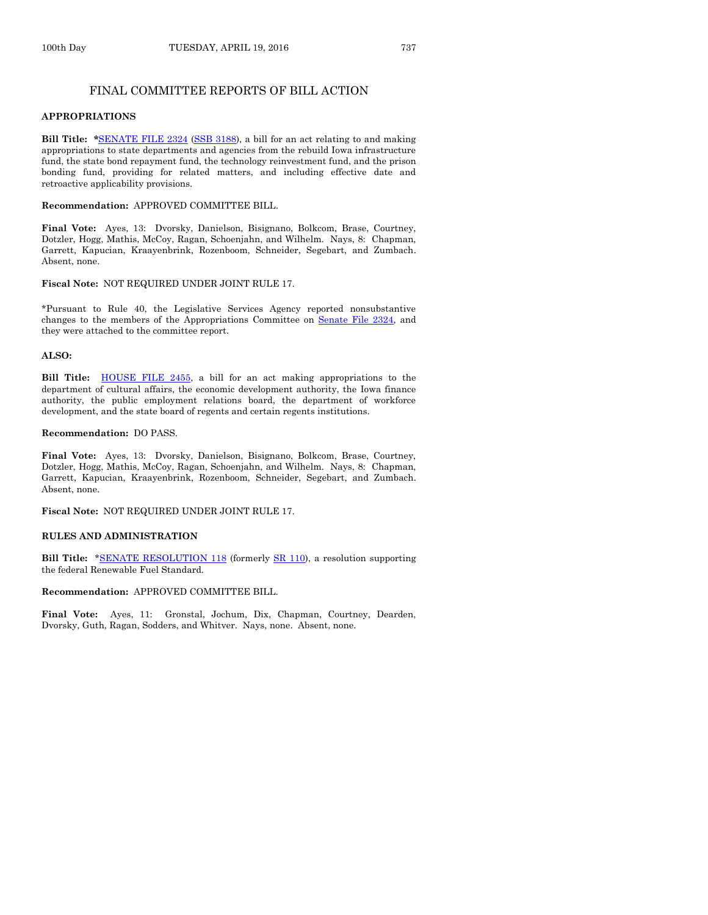#### FINAL COMMITTEE REPORTS OF BILL ACTION

#### **APPROPRIATIONS**

**Bill Title: \***[SENATE FILE 2324](http://coolice.legis.iowa.gov/Cool-ICE/default.asp?Category=billinfo&Service=Billbook&frame=1&GA=86&hbill=SF2324) [\(SSB 3188\)](http://coolice.legis.iowa.gov/Cool-ICE/default.asp?Category=billinfo&Service=Billbook&frame=1&GA=86&hbill=SSB3188), a bill for an act relating to and making appropriations to state departments and agencies from the rebuild Iowa infrastructure fund, the state bond repayment fund, the technology reinvestment fund, and the prison bonding fund, providing for related matters, and including effective date and retroactive applicability provisions.

#### **Recommendation:** APPROVED COMMITTEE BILL.

**Final Vote:** Ayes, 13: Dvorsky, Danielson, Bisignano, Bolkcom, Brase, Courtney, Dotzler, Hogg, Mathis, McCoy, Ragan, Schoenjahn, and Wilhelm. Nays, 8: Chapman, Garrett, Kapucian, Kraayenbrink, Rozenboom, Schneider, Segebart, and Zumbach. Absent, none.

#### **Fiscal Note:** NOT REQUIRED UNDER JOINT RULE 17.

\*Pursuant to Rule 40, the Legislative Services Agency reported nonsubstantive changes to the members of the Appropriations Committee on Senate [File 2324,](http://coolice.legis.iowa.gov/Cool-ICE/default.asp?Category=billinfo&Service=Billbook&frame=1&GA=86&hbill=SF2324) and they were attached to the committee report.

#### **ALSO:**

**Bill Title:** [HOUSE FILE 2455,](http://coolice.legis.iowa.gov/Cool-ICE/default.asp?Category=billinfo&Service=Billbook&frame=1&GA=86&hbill=HF2455) a bill for an act making appropriations to the department of cultural affairs, the economic development authority, the Iowa finance authority, the public employment relations board, the department of workforce development, and the state board of regents and certain regents institutions.

#### **Recommendation:** DO PASS.

**Final Vote:** Ayes, 13: Dvorsky, Danielson, Bisignano, Bolkcom, Brase, Courtney, Dotzler, Hogg, Mathis, McCoy, Ragan, Schoenjahn, and Wilhelm. Nays, 8: Chapman, Garrett, Kapucian, Kraayenbrink, Rozenboom, Schneider, Segebart, and Zumbach. Absent, none.

#### **Fiscal Note:** NOT REQUIRED UNDER JOINT RULE 17.

#### **RULES AND ADMINISTRATION**

**Bill Title: [\\*SENATE RESOLUTION 118](http://coolice.legis.iowa.gov/Cool-ICE/default.asp?Category=billinfo&Service=Billbook&frame=1&GA=86&hbill=SR118) (formerly [SR 110\)](http://coolice.legis.iowa.gov/Cool-ICE/default.asp?Category=billinfo&Service=Billbook&frame=1&GA=86&hbill=SR110), a resolution supporting** the federal Renewable Fuel Standard.

#### **Recommendation:** APPROVED COMMITTEE BILL.

**Final Vote:** Ayes, 11: Gronstal, Jochum, Dix, Chapman, Courtney, Dearden, Dvorsky, Guth, Ragan, Sodders, and Whitver. Nays, none. Absent, none.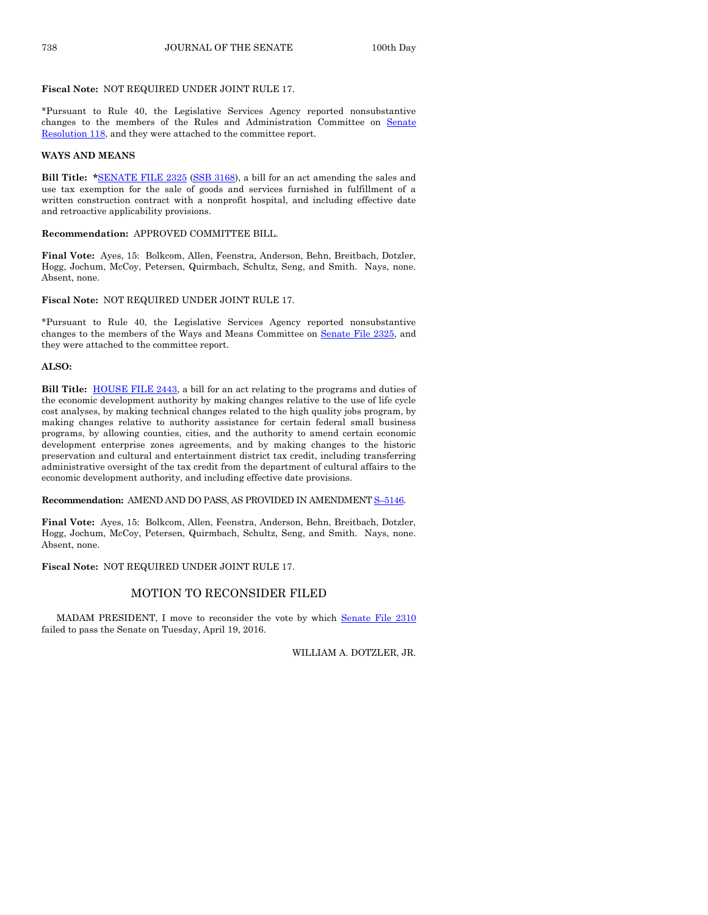## **Fiscal Note:** NOT REQUIRED UNDER JOINT RULE 17.

\*Pursuant to Rule 40, the Legislative Services Agency reported nonsubstantive changes to the members of the Rules and Administration Committee on [Senate](http://coolice.legis.iowa.gov/Cool-ICE/default.asp?Category=billinfo&Service=Billbook&frame=1&GA=86&hbill=SR118)  [Resolution 118,](http://coolice.legis.iowa.gov/Cool-ICE/default.asp?Category=billinfo&Service=Billbook&frame=1&GA=86&hbill=SR118) and they were attached to the committee report.

#### **WAYS AND MEANS**

**Bill Title: \***[SENATE FILE 2325](http://coolice.legis.iowa.gov/Cool-ICE/default.asp?Category=billinfo&Service=Billbook&frame=1&GA=86&hbill=SF2325) [\(SSB 3168\),](http://coolice.legis.iowa.gov/Cool-ICE/default.asp?Category=billinfo&Service=Billbook&frame=1&GA=86&hbill=SSB3168) a bill for an act amending the sales and use tax exemption for the sale of goods and services furnished in fulfillment of a written construction contract with a nonprofit hospital, and including effective date and retroactive applicability provisions.

## **Recommendation:** APPROVED COMMITTEE BILL.

**Final Vote:** Ayes, 15: Bolkcom, Allen, Feenstra, Anderson, Behn, Breitbach, Dotzler, Hogg, Jochum, McCoy, Petersen, Quirmbach, Schultz, Seng, and Smith. Nays, none. Absent, none.

# **Fiscal Note:** NOT REQUIRED UNDER JOINT RULE 17.

\*Pursuant to Rule 40, the Legislative Services Agency reported nonsubstantive changes to the members of the Ways and Means Committee on Senate [File 2325,](http://coolice.legis.iowa.gov/Cool-ICE/default.asp?Category=billinfo&Service=Billbook&frame=1&GA=86&hbill=SF2325) and they were attached to the committee report.

#### **ALSO:**

**Bill Title:** [HOUSE FILE 2443,](http://coolice.legis.iowa.gov/Cool-ICE/default.asp?Category=billinfo&Service=Billbook&frame=1&GA=86&hbill=HF2443) a bill for an act relating to the programs and duties of the economic development authority by making changes relative to the use of life cycle cost analyses, by making technical changes related to the high quality jobs program, by making changes relative to authority assistance for certain federal small business programs, by allowing counties, cities, and the authority to amend certain economic development enterprise zones agreements, and by making changes to the historic preservation and cultural and entertainment district tax credit, including transferring administrative oversight of the tax credit from the department of cultural affairs to the economic development authority, and including effective date provisions.

**Recommendation:** AMEND AND DO PASS, AS PROVIDED IN AMENDMENT S–[5146.](http://coolice.legis.iowa.gov/Cool-ICE/default.asp?Category=billinfo&Service=Billbook&frame=1&GA=86&hbill=S5146)

**Final Vote:** Ayes, 15: Bolkcom, Allen, Feenstra, Anderson, Behn, Breitbach, Dotzler, Hogg, Jochum, McCoy, Petersen, Quirmbach, Schultz, Seng, and Smith. Nays, none. Absent, none.

**Fiscal Note:** NOT REQUIRED UNDER JOINT RULE 17.

#### MOTION TO RECONSIDER FILED

MADAM PRESIDENT, I move to reconsider the vote by which [Senate File](http://coolice.legis.iowa.gov/Cool-ICE/default.asp?Category=billinfo&Service=Billbook&frame=1&GA=86&hbill=SF2310) 2310 failed to pass the Senate on Tuesday, April 19, 2016.

WILLIAM A. DOTZLER, JR.